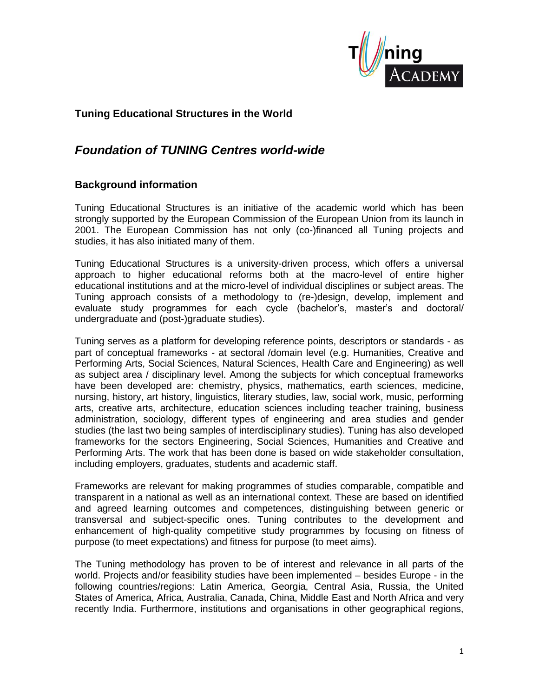

## **Tuning Educational Structures in the World**

# *Foundation of TUNING Centres world-wide*

### **Background information**

Tuning Educational Structures is an initiative of the academic world which has been strongly supported by the European Commission of the European Union from its launch in 2001. The European Commission has not only (co-)financed all Tuning projects and studies, it has also initiated many of them.

Tuning Educational Structures is a university-driven process, which offers a universal approach to higher educational reforms both at the macro-level of entire higher educational institutions and at the micro-level of individual disciplines or subject areas. The Tuning approach consists of a methodology to (re-)design, develop, implement and evaluate study programmes for each cycle (bachelor's, master's and doctoral/ undergraduate and (post-)graduate studies).

Tuning serves as a platform for developing reference points, descriptors or standards - as part of conceptual frameworks - at sectoral /domain level (e.g. Humanities, Creative and Performing Arts, Social Sciences, Natural Sciences, Health Care and Engineering) as well as subject area / disciplinary level. Among the subjects for which conceptual frameworks have been developed are: chemistry, physics, mathematics, earth sciences, medicine, nursing, history, art history, linguistics, literary studies, law, social work, music, performing arts, creative arts, architecture, education sciences including teacher training, business administration, sociology, different types of engineering and area studies and gender studies (the last two being samples of interdisciplinary studies). Tuning has also developed frameworks for the sectors Engineering, Social Sciences, Humanities and Creative and Performing Arts. The work that has been done is based on wide stakeholder consultation, including employers, graduates, students and academic staff.

Frameworks are relevant for making programmes of studies comparable, compatible and transparent in a national as well as an international context. These are based on identified and agreed learning outcomes and competences, distinguishing between generic or transversal and subject-specific ones. Tuning contributes to the development and enhancement of high-quality competitive study programmes by focusing on fitness of purpose (to meet expectations) and fitness for purpose (to meet aims).

The Tuning methodology has proven to be of interest and relevance in all parts of the world. Projects and/or feasibility studies have been implemented – besides Europe - in the following countries/regions: Latin America, Georgia, Central Asia, Russia, the United States of America, Africa, Australia, Canada, China, Middle East and North Africa and very recently India. Furthermore, institutions and organisations in other geographical regions,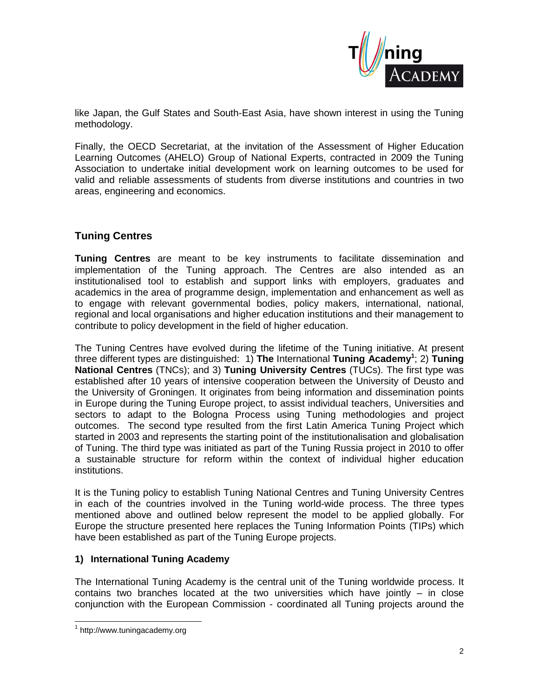

like Japan, the Gulf States and South-East Asia, have shown interest in using the Tuning methodology.

Finally, the OECD Secretariat, at the invitation of the Assessment of Higher Education Learning Outcomes (AHELO) Group of National Experts, contracted in 2009 the Tuning Association to undertake initial development work on learning outcomes to be used for valid and reliable assessments of students from diverse institutions and countries in two areas, engineering and economics.

## **Tuning Centres**

**Tuning Centres** are meant to be key instruments to facilitate dissemination and implementation of the Tuning approach. The Centres are also intended as an institutionalised tool to establish and support links with employers, graduates and academics in the area of programme design, implementation and enhancement as well as to engage with relevant governmental bodies, policy makers, international, national, regional and local organisations and higher education institutions and their management to contribute to policy development in the field of higher education.

The Tuning Centres have evolved during the lifetime of the Tuning initiative. At present three different types are distinguished: 1) **The** International **Tuning Academy<sup>1</sup>** ; 2) **Tuning National Centres** (TNCs); and 3) **Tuning University Centres** (TUCs). The first type was established after 10 years of intensive cooperation between the University of Deusto and the University of Groningen. It originates from being information and dissemination points in Europe during the Tuning Europe project, to assist individual teachers, Universities and sectors to adapt to the Bologna Process using Tuning methodologies and project outcomes. The second type resulted from the first Latin America Tuning Project which started in 2003 and represents the starting point of the institutionalisation and globalisation of Tuning. The third type was initiated as part of the Tuning Russia project in 2010 to offer a sustainable structure for reform within the context of individual higher education institutions.

It is the Tuning policy to establish Tuning National Centres and Tuning University Centres in each of the countries involved in the Tuning world-wide process. The three types mentioned above and outlined below represent the model to be applied globally. For Europe the structure presented here replaces the Tuning Information Points (TIPs) which have been established as part of the Tuning Europe projects.

### **1) International Tuning Academy**

The International Tuning Academy is the central unit of the Tuning worldwide process. It contains two branches located at the two universities which have jointly – in close conjunction with the European Commission - coordinated all Tuning projects around the

l

<sup>1</sup> http://www.tuningacademy.org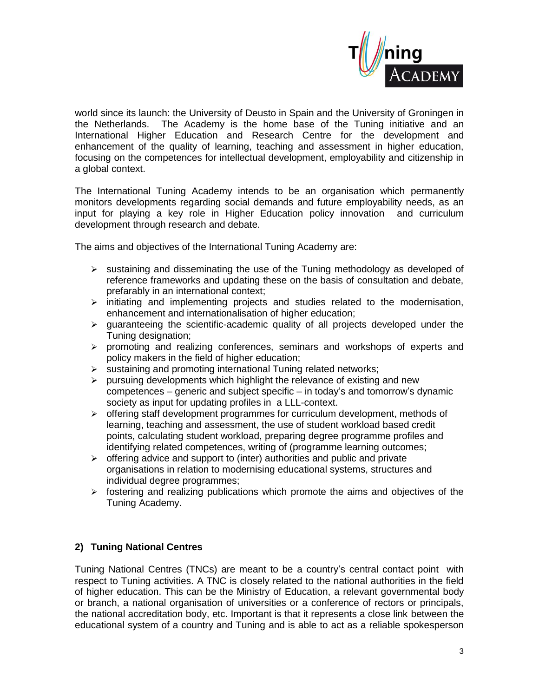

world since its launch: the University of Deusto in Spain and the University of Groningen in the Netherlands. The Academy is the home base of the Tuning initiative and an International Higher Education and Research Centre for the development and enhancement of the quality of learning, teaching and assessment in higher education, focusing on the competences for intellectual development, employability and citizenship in a global context.

The International Tuning Academy intends to be an organisation which permanently monitors developments regarding social demands and future employability needs, as an input for playing a key role in Higher Education policy innovation and curriculum development through research and debate.

The aims and objectives of the International Tuning Academy are:

- $\triangleright$  sustaining and disseminating the use of the Tuning methodology as developed of reference frameworks and updating these on the basis of consultation and debate, prefarably in an international context;
- $\triangleright$  initiating and implementing projects and studies related to the modernisation, enhancement and internationalisation of higher education;
- $\triangleright$  quaranteeing the scientific-academic quality of all projects developed under the Tuning designation;
- $\triangleright$  promoting and realizing conferences, seminars and workshops of experts and policy makers in the field of higher education;
- $\triangleright$  sustaining and promoting international Tuning related networks:
- $\triangleright$  pursuing developments which highlight the relevance of existing and new competences – generic and subject specific – in today's and tomorrow's dynamic society as input for updating profiles in a LLL-context.
- $\triangleright$  offering staff development programmes for curriculum development, methods of learning, teaching and assessment, the use of student workload based credit points, calculating student workload, preparing degree programme profiles and identifying related competences, writing of (programme learning outcomes;
- $\triangleright$  offering advice and support to (inter) authorities and public and private organisations in relation to modernising educational systems, structures and individual degree programmes;
- $\triangleright$  fostering and realizing publications which promote the aims and objectives of the Tuning Academy.

### **2) Tuning National Centres**

Tuning National Centres (TNCs) are meant to be a country's central contact point with respect to Tuning activities. A TNC is closely related to the national authorities in the field of higher education. This can be the Ministry of Education, a relevant governmental body or branch, a national organisation of universities or a conference of rectors or principals, the national accreditation body, etc. Important is that it represents a close link between the educational system of a country and Tuning and is able to act as a reliable spokesperson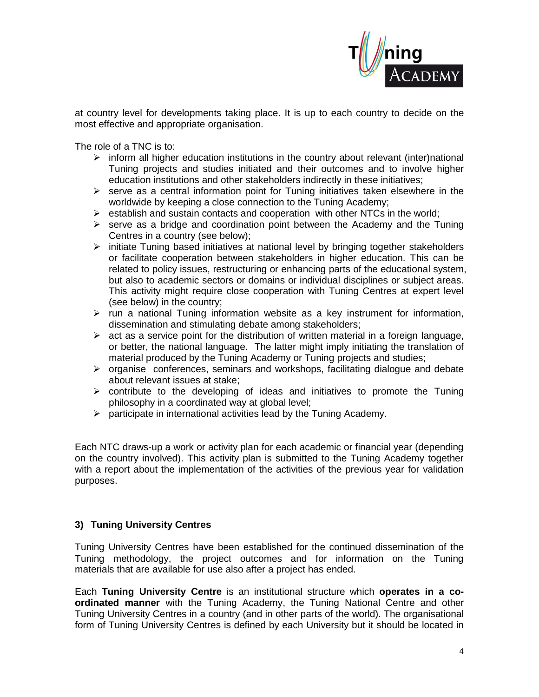

at country level for developments taking place. It is up to each country to decide on the most effective and appropriate organisation.

The role of a TNC is to:

- $\triangleright$  inform all higher education institutions in the country about relevant (inter)national Tuning projects and studies initiated and their outcomes and to involve higher education institutions and other stakeholders indirectly in these initiatives;
- $\triangleright$  serve as a central information point for Tuning initiatives taken elsewhere in the worldwide by keeping a close connection to the Tuning Academy;
- $\triangleright$  establish and sustain contacts and cooperation with other NTCs in the world;
- $\triangleright$  serve as a bridge and coordination point between the Academy and the Tuning Centres in a country (see below);
- $\triangleright$  initiate Tuning based initiatives at national level by bringing together stakeholders or facilitate cooperation between stakeholders in higher education. This can be related to policy issues, restructuring or enhancing parts of the educational system, but also to academic sectors or domains or individual disciplines or subject areas. This activity might require close cooperation with Tuning Centres at expert level (see below) in the country;
- $\triangleright$  run a national Tuning information website as a key instrument for information, dissemination and stimulating debate among stakeholders;
- $\triangleright$  act as a service point for the distribution of written material in a foreign language. or better, the national language. The latter might imply initiating the translation of material produced by the Tuning Academy or Tuning projects and studies;
- $\triangleright$  organise conferences, seminars and workshops, facilitating dialogue and debate about relevant issues at stake;
- $\triangleright$  contribute to the developing of ideas and initiatives to promote the Tuning philosophy in a coordinated way at global level;
- $\triangleright$  participate in international activities lead by the Tuning Academy.

Each NTC draws-up a work or activity plan for each academic or financial year (depending on the country involved). This activity plan is submitted to the Tuning Academy together with a report about the implementation of the activities of the previous year for validation purposes.

### **3) Tuning University Centres**

Tuning University Centres have been established for the continued dissemination of the Tuning methodology, the project outcomes and for information on the Tuning materials that are available for use also after a project has ended.

Each **Tuning University Centre** is an institutional structure which **operates in a coordinated manner** with the Tuning Academy, the Tuning National Centre and other Tuning University Centres in a country (and in other parts of the world). The organisational form of Tuning University Centres is defined by each University but it should be located in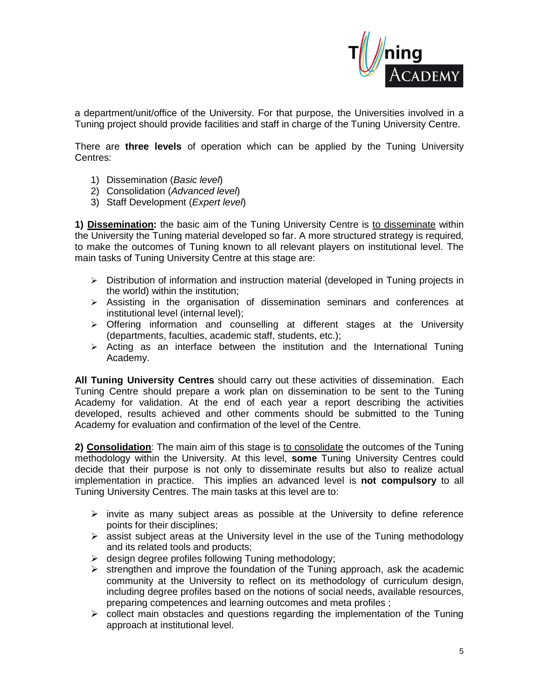

a department/unit/office of the University. For that purpose, the Universities involved in a Tuning project should provide facilities and staff in charge of the Tuning University Centre.

There are **three levels** of operation which can be applied by the Tuning University Centres:

- 1) Dissemination (*Basic level*)
- 2) Consolidation (*Advanced level*)
- 3) Staff Development (*Expert level*)

**1) Dissemination:** the basic aim of the Tuning University Centre is to disseminate within the University the Tuning material developed so far. A more structured strategy is required, to make the outcomes of Tuning known to all relevant players on institutional level. The main tasks of Tuning University Centre at this stage are:

- $\triangleright$  Distribution of information and instruction material (developed in Tuning projects in the world) within the institution;
- $\triangleright$  Assisting in the organisation of dissemination seminars and conferences at institutional level (internal level);
- > Offering information and counselling at different stages at the University (departments, faculties, academic staff, students, etc.);
- $\triangleright$  Acting as an interface between the institution and the International Tuning Academy.

**All Tuning University Centres** should carry out these activities of dissemination. Each Tuning Centre should prepare a work plan on dissemination to be sent to the Tuning Academy for validation. At the end of each year a report describing the activities developed, results achieved and other comments should be submitted to the Tuning Academy for evaluation and confirmation of the level of the Centre.

**2) Consolidation**: The main aim of this stage is to consolidate the outcomes of the Tuning methodology within the University. At this level, **some** Tuning University Centres could decide that their purpose is not only to disseminate results but also to realize actual implementation in practice. This implies an advanced level is **not compulsory** to all Tuning University Centres. The main tasks at this level are to:

- $\triangleright$  invite as many subject areas as possible at the University to define reference points for their disciplines;
- $\triangleright$  assist subject areas at the University level in the use of the Tuning methodology and its related tools and products;
- $\triangleright$  design degree profiles following Tuning methodology;
- $\triangleright$  strengthen and improve the foundation of the Tuning approach, ask the academic community at the University to reflect on its methodology of curriculum design, including degree profiles based on the notions of social needs, available resources, preparing competences and learning outcomes and meta profiles ;
- $\triangleright$  collect main obstacles and questions regarding the implementation of the Tuning approach at institutional level.